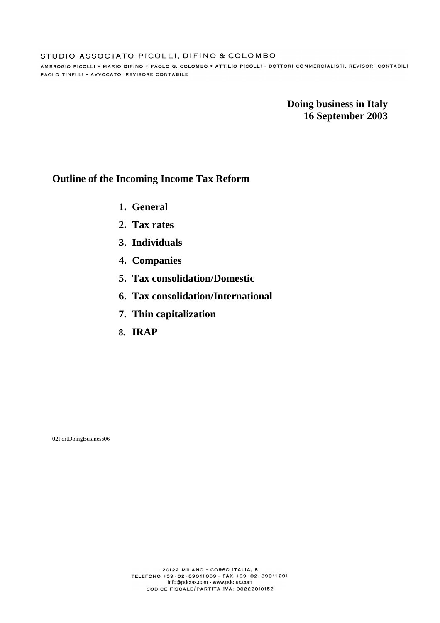AMBROGIO PICOLLI \* MARIO DIFINO \* PAOLO G. COLOMBO \* ATTILIO PICOLLI - DOTTORI COMMERCIALISTI, REVISORI CONTABILI PAOLO TINELLI - AVVOCATO, REVISORE CONTABILE

> **Doing business in Italy 16 September 2003**

# **Outline of the Incoming Income Tax Reform**

- **1. General**
- **2. Tax rates**
- **3. Individuals**
- **4. Companies**
- **5. Tax consolidation/Domestic**
- **6. Tax consolidation/International**
- **7. Thin capitalization**
- **8. IRAP**

02PortDoingBusiness06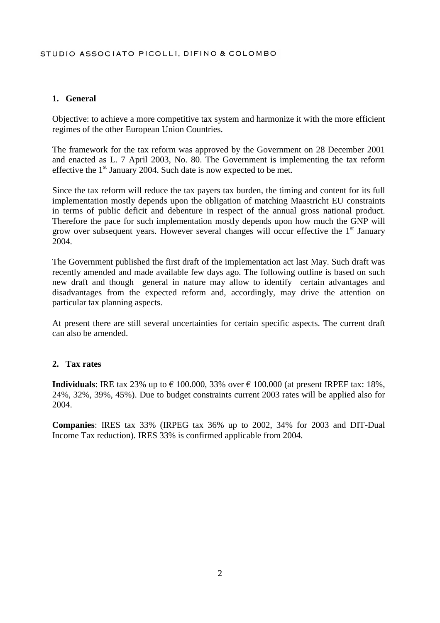#### **1. General**

Objective: to achieve a more competitive tax system and harmonize it with the more efficient regimes of the other European Union Countries.

The framework for the tax reform was approved by the Government on 28 December 2001 and enacted as L. 7 April 2003, No. 80. The Government is implementing the tax reform effective the  $1<sup>st</sup>$  January 2004. Such date is now expected to be met.

Since the tax reform will reduce the tax payers tax burden, the timing and content for its full implementation mostly depends upon the obligation of matching Maastricht EU constraints in terms of public deficit and debenture in respect of the annual gross national product. Therefore the pace for such implementation mostly depends upon how much the GNP will grow over subsequent years. However several changes will occur effective the 1<sup>st</sup> January 2004.

The Government published the first draft of the implementation act last May. Such draft was recently amended and made available few days ago. The following outline is based on such new draft and though general in nature may allow to identify certain advantages and disadvantages from the expected reform and, accordingly, may drive the attention on particular tax planning aspects.

At present there are still several uncertainties for certain specific aspects. The current draft can also be amended.

#### **2. Tax rates**

**Individuals**: IRE tax 23% up to  $\epsilon$  100.000, 33% over  $\epsilon$  100.000 (at present IRPEF tax: 18%, 24%, 32%, 39%, 45%). Due to budget constraints current 2003 rates will be applied also for 2004.

**Companies**: IRES tax 33% (IRPEG tax 36% up to 2002, 34% for 2003 and DIT-Dual Income Tax reduction). IRES 33% is confirmed applicable from 2004.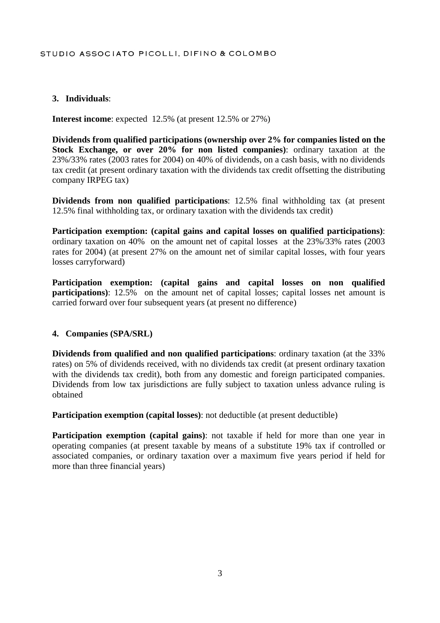## **3. Individuals**:

**Interest income**: expected 12.5% (at present 12.5% or 27%)

**Dividends from qualified participations (ownership over 2% for companies listed on the Stock Exchange, or over 20% for non listed companies)**: ordinary taxation at the 23%/33% rates (2003 rates for 2004) on 40% of dividends, on a cash basis, with no dividends tax credit (at present ordinary taxation with the dividends tax credit offsetting the distributing company IRPEG tax)

**Dividends from non qualified participations**: 12.5% final withholding tax (at present 12.5% final withholding tax, or ordinary taxation with the dividends tax credit)

**Participation exemption: (capital gains and capital losses on qualified participations)**: ordinary taxation on 40% on the amount net of capital losses at the 23%/33% rates (2003 rates for 2004) (at present 27% on the amount net of similar capital losses, with four years losses carryforward)

**Participation exemption: (capital gains and capital losses on non qualified participations**): 12.5% on the amount net of capital losses; capital losses net amount is carried forward over four subsequent years (at present no difference)

### **4. Companies (SPA/SRL)**

**Dividends from qualified and non qualified participations**: ordinary taxation (at the 33% rates) on 5% of dividends received, with no dividends tax credit (at present ordinary taxation with the dividends tax credit), both from any domestic and foreign participated companies. Dividends from low tax jurisdictions are fully subject to taxation unless advance ruling is obtained

**Participation exemption (capital losses)**: not deductible (at present deductible)

**Participation exemption (capital gains)**: not taxable if held for more than one year in operating companies (at present taxable by means of a substitute 19% tax if controlled or associated companies, or ordinary taxation over a maximum five years period if held for more than three financial years)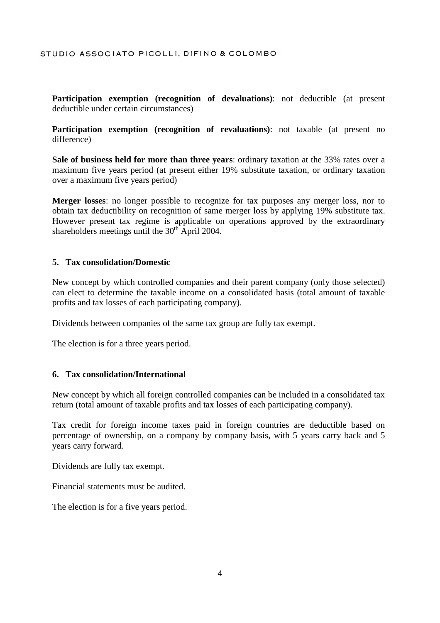**Participation exemption (recognition of devaluations)**: not deductible (at present deductible under certain circumstances)

**Participation exemption (recognition of revaluations)**: not taxable (at present no difference)

**Sale of business held for more than three years**: ordinary taxation at the 33% rates over a maximum five years period (at present either 19% substitute taxation, or ordinary taxation over a maximum five years period)

**Merger losses**: no longer possible to recognize for tax purposes any merger loss, nor to obtain tax deductibility on recognition of same merger loss by applying 19% substitute tax. However present tax regime is applicable on operations approved by the extraordinary shareholders meetings until the  $30<sup>th</sup>$  April 2004.

#### **5. Tax consolidation/Domestic**

New concept by which controlled companies and their parent company (only those selected) can elect to determine the taxable income on a consolidated basis (total amount of taxable profits and tax losses of each participating company).

Dividends between companies of the same tax group are fully tax exempt.

The election is for a three years period.

#### **6. Tax consolidation/International**

New concept by which all foreign controlled companies can be included in a consolidated tax return (total amount of taxable profits and tax losses of each participating company).

Tax credit for foreign income taxes paid in foreign countries are deductible based on percentage of ownership, on a company by company basis, with 5 years carry back and 5 years carry forward.

Dividends are fully tax exempt.

Financial statements must be audited.

The election is for a five years period.